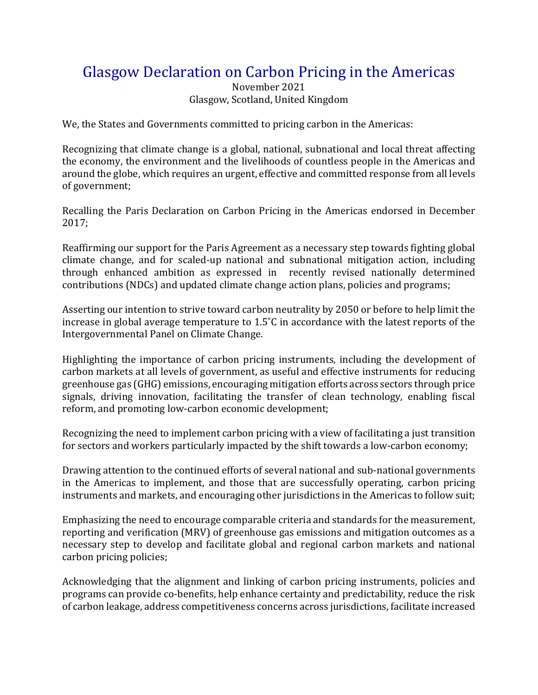## Glasgow Declaration on Carbon Pricing in the Americas

November 2021 Glasgow, Scotland, United Kingdom

We, the States and Governments committed to pricing carbon in the Americas:

Recognizing that climate change is a global, national, subnational and local threat affecting the economy, the environment and the livelihoods of countless people in the Americas and around the globe, which requires an urgent, effective and committed response from all levels of government;

Recalling the Paris Declaration on Carbon Pricing in the Americas endorsed in December 2017;

Reaffirming our support for the Paris Agreement as a necessary step towards fighting global climate change, and for scaled-up national and subnational mitigation action, including through enhanced ambition as expressed in recently revised nationally determined contributions (NDCs) and updated climate change action plans, policies and programs;

Asserting our intention to strive toward carbon neutrality by 2050 or before to help limit the increase in global average temperature to 1.5˚C in accordance with the latest reports of the Intergovernmental Panel on Climate Change.

Highlighting the importance of carbon pricing instruments, including the development of carbon markets at all levels of government, as useful and effective instruments for reducing greenhouse gas (GHG) emissions, encouraging mitigation efforts across sectors through price signals, driving innovation, facilitating the transfer of clean technology, enabling fiscal reform, and promoting low-carbon economic development;

Recognizing the need to implement carbon pricing with a view of facilitating a just transition for sectors and workers particularly impacted by the shift towards a low-carbon economy;

Drawing attention to the continued efforts of several national and sub-national governments in the Americas to implement, and those that are successfully operating, carbon pricing instruments and markets, and encouraging other jurisdictions in the Americas to follow suit;

Emphasizing the need to encourage comparable criteria and standards for the measurement, reporting and verification (MRV) of greenhouse gas emissions and mitigation outcomes as a necessary step to develop and facilitate global and regional carbon markets and national carbon pricing policies;

Acknowledging that the alignment and linking of carbon pricing instruments, policies and programs can provide co-benefits, help enhance certainty and predictability, reduce the risk of carbon leakage, address competitiveness concerns across jurisdictions, facilitate increased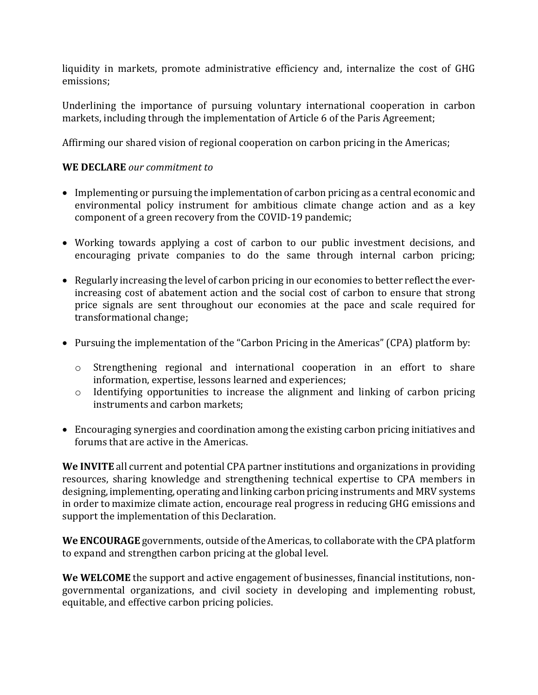liquidity in markets, promote administrative efficiency and, internalize the cost of GHG emissions;

Underlining the importance of pursuing voluntary international cooperation in carbon markets, including through the implementation of Article 6 of the Paris Agreement;

Affirming our shared vision of regional cooperation on carbon pricing in the Americas;

## **WE DECLARE** *our commitment to*

- Implementing or pursuing the implementation of carbon pricing as a central economic and environmental policy instrument for ambitious climate change action and as a key component of a green recovery from the COVID-19 pandemic;
- Working towards applying a cost of carbon to our public investment decisions, and encouraging private companies to do the same through internal carbon pricing;
- Regularly increasing the level of carbon pricing in our economies to better reflect the everincreasing cost of abatement action and the social cost of carbon to ensure that strong price signals are sent throughout our economies at the pace and scale required for transformational change;
- Pursuing the implementation of the "Carbon Pricing in the Americas" (CPA) platform by:
	- o Strengthening regional and international cooperation in an effort to share information, expertise, lessons learned and experiences;
	- o Identifying opportunities to increase the alignment and linking of carbon pricing instruments and carbon markets;
- Encouraging synergies and coordination among the existing carbon pricing initiatives and forums that are active in the Americas.

**We INVITE** all current and potential CPA partner institutions and organizations in providing resources, sharing knowledge and strengthening technical expertise to CPA members in designing, implementing, operating and linking carbon pricing instruments and MRV systems in order to maximize climate action, encourage real progress in reducing GHG emissions and support the implementation of this Declaration.

We ENCOURAGE governments, outside of the Americas, to collaborate with the CPA platform to expand and strengthen carbon pricing at the global level.

**We WELCOME** the support and active engagement of businesses, financial institutions, nongovernmental organizations, and civil society in developing and implementing robust, equitable, and effective carbon pricing policies.